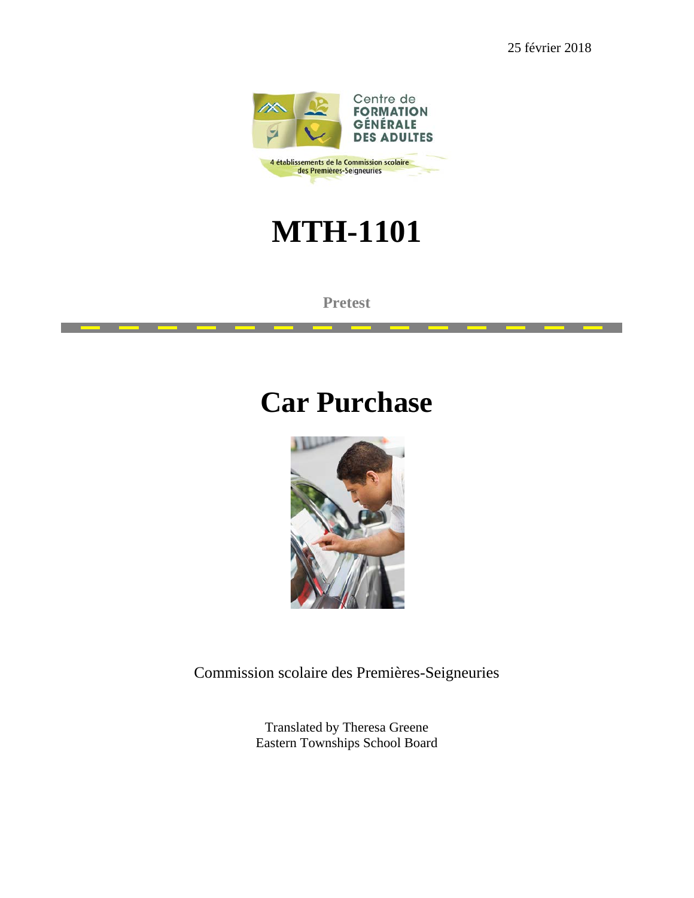25 février 2018



## **MTH-1101**

**Pretest**

## **Car Purchase**



Commission scolaire des Premières-Seigneuries

Translated by Theresa Greene Eastern Townships School Board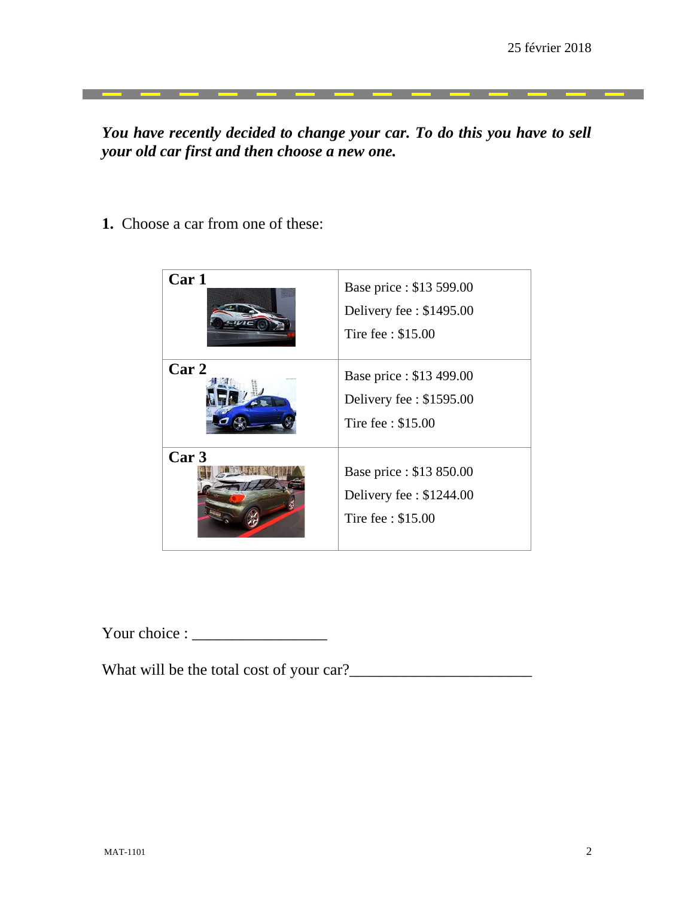<u> Tanzania de Caractería de Ca</u>

*You have recently decided to change your car. To do this you have to sell your old car first and then choose a new one.*

\_\_\_\_\_\_

**1.** Choose a car from one of these:



Your choice : \_\_\_\_\_\_\_\_\_\_\_\_\_\_\_\_\_

What will be the total cost of your car?\_\_\_\_\_\_\_\_\_\_\_\_\_\_\_\_\_\_\_\_\_\_\_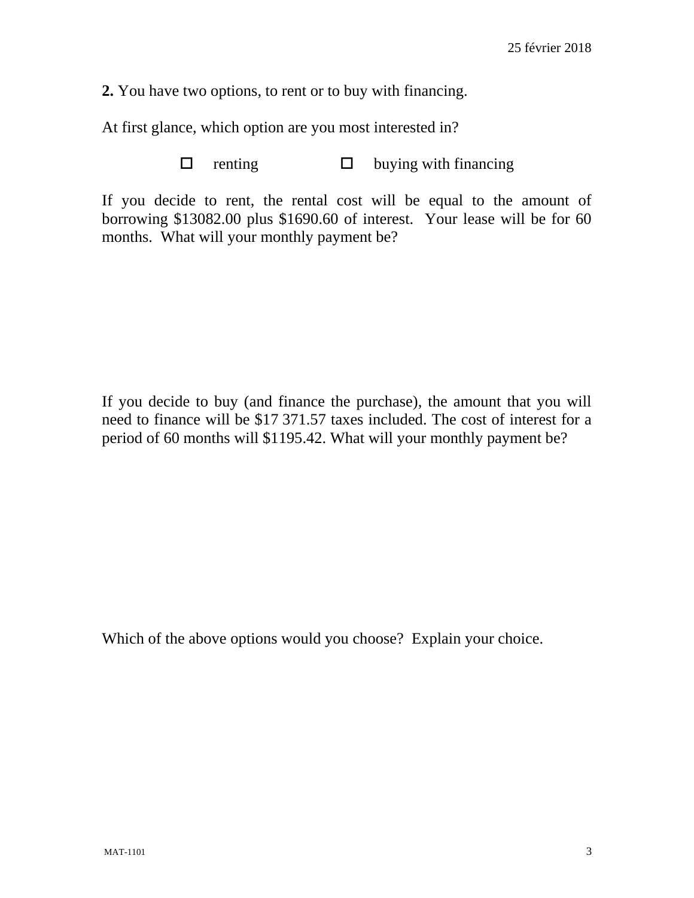**2.** You have two options, to rent or to buy with financing.

At first glance, which option are you most interested in?

 $\Box$  renting  $\Box$  buying with financing

If you decide to rent, the rental cost will be equal to the amount of borrowing \$13082.00 plus \$1690.60 of interest. Your lease will be for 60 months. What will your monthly payment be?

If you decide to buy (and finance the purchase), the amount that you will need to finance will be \$17 371.57 taxes included. The cost of interest for a period of 60 months will \$1195.42. What will your monthly payment be?

Which of the above options would you choose? Explain your choice.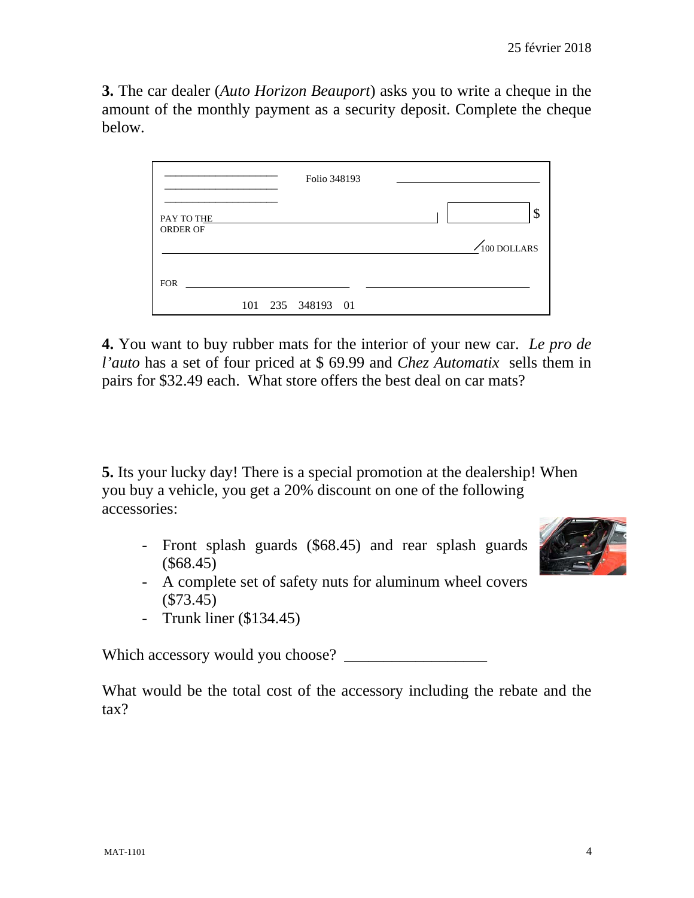**3.** The car dealer (*Auto Horizon Beauport*) asks you to write a cheque in the amount of the monthly payment as a security deposit. Complete the cheque below.



**4.** You want to buy rubber mats for the interior of your new car. *Le pro de l'auto* has a set of four priced at \$ 69.99 and *Chez Automatix* sells them in pairs for \$32.49 each. What store offers the best deal on car mats?

**5.** Its your lucky day! There is a special promotion at the dealership! When you buy a vehicle, you get a 20% discount on one of the following accessories:

- Front splash guards (\$68.45) and rear splash guards (\$68.45)
- A complete set of safety nuts for aluminum wheel covers (\$73.45)
- Trunk liner (\$134.45)

Which accessory would you choose?

What would be the total cost of the accessory including the rebate and the tax?

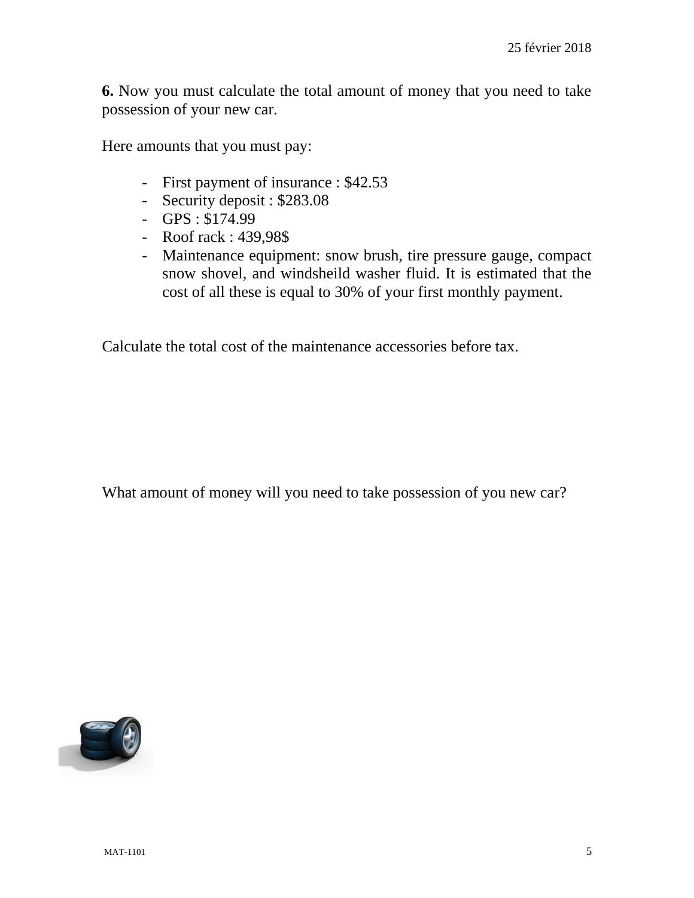**6.** Now you must calculate the total amount of money that you need to take possession of your new car.

Here amounts that you must pay:

- First payment of insurance : \$42.53
- Security deposit : \$283.08
- GPS : \$174.99
- Roof rack : 439,98\$
- Maintenance equipment: snow brush, tire pressure gauge, compact snow shovel, and windsheild washer fluid. It is estimated that the cost of all these is equal to 30% of your first monthly payment.

Calculate the total cost of the maintenance accessories before tax.

What amount of money will you need to take possession of you new car?

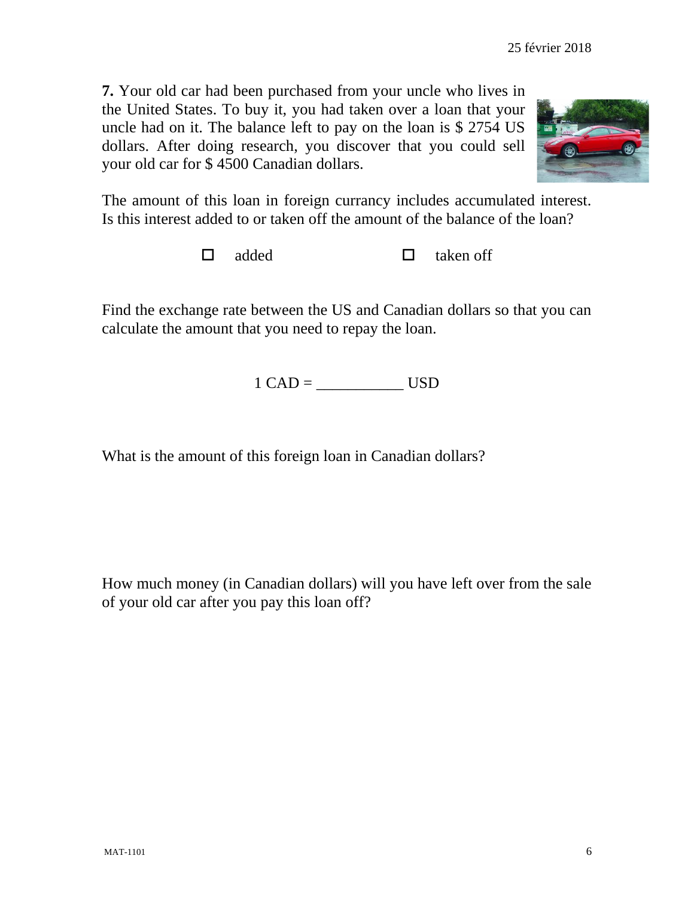**7.** Your old car had been purchased from your uncle who lives in the United States. To buy it, you had taken over a loan that your uncle had on it. The balance left to pay on the loan is \$ 2754 US dollars. After doing research, you discover that you could sell your old car for \$ 4500 Canadian dollars.



The amount of this loan in foreign currancy includes accumulated interest. Is this interest added to or taken off the amount of the balance of the loan?

 $\Box$  added  $\Box$  taken off

Find the exchange rate between the US and Canadian dollars so that you can calculate the amount that you need to repay the loan.

1 CAD = \_\_\_\_\_\_\_\_\_\_\_ USD

What is the amount of this foreign loan in Canadian dollars?

How much money (in Canadian dollars) will you have left over from the sale of your old car after you pay this loan off?